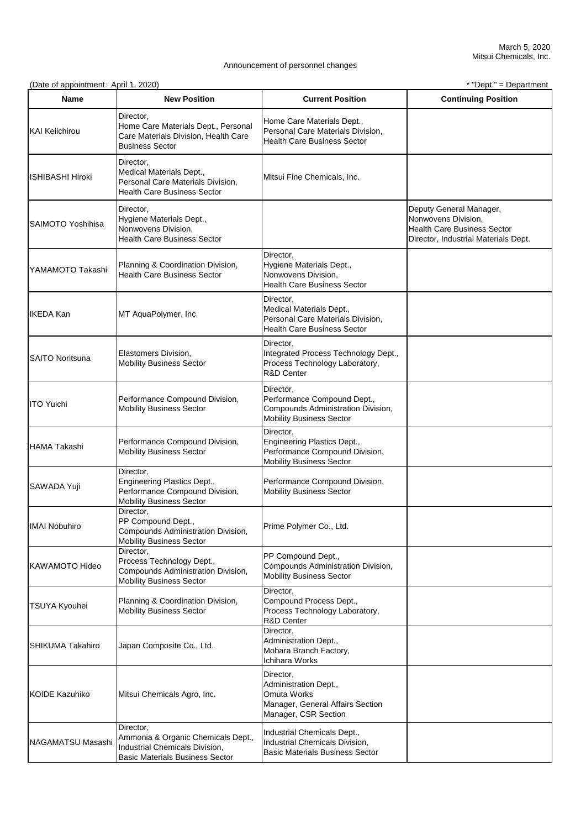(Date of appointment: April 1, 2020) \* "Dept." = Department

| <b>Name</b>            | <b>New Position</b>                                                                                                         | <b>Current Position</b>                                                                                              | <b>Continuing Position</b>                                                                                                   |
|------------------------|-----------------------------------------------------------------------------------------------------------------------------|----------------------------------------------------------------------------------------------------------------------|------------------------------------------------------------------------------------------------------------------------------|
| KAI Keiichirou         | Director,<br>Home Care Materials Dept., Personal<br>Care Materials Division, Health Care<br><b>Business Sector</b>          | Home Care Materials Dept.,<br>Personal Care Materials Division,<br><b>Health Care Business Sector</b>                |                                                                                                                              |
| ISHIBASHI Hiroki       | Director,<br>Medical Materials Dept.,<br>Personal Care Materials Division,<br><b>Health Care Business Sector</b>            | Mitsui Fine Chemicals, Inc.                                                                                          |                                                                                                                              |
| SAIMOTO Yoshihisa      | Director,<br>Hygiene Materials Dept.,<br>Nonwovens Division,<br><b>Health Care Business Sector</b>                          |                                                                                                                      | Deputy General Manager,<br>Nonwovens Division,<br><b>Health Care Business Sector</b><br>Director, Industrial Materials Dept. |
| YAMAMOTO Takashi       | Planning & Coordination Division,<br><b>Health Care Business Sector</b>                                                     | Director,<br>Hygiene Materials Dept.,<br>Nonwovens Division,<br><b>Health Care Business Sector</b>                   |                                                                                                                              |
| IKEDA Kan              | MT AquaPolymer, Inc.                                                                                                        | Director,<br>Medical Materials Dept.,<br>Personal Care Materials Division,<br><b>Health Care Business Sector</b>     |                                                                                                                              |
| <b>SAITO Noritsuna</b> | Elastomers Division,<br><b>Mobility Business Sector</b>                                                                     | Director,<br>Integrated Process Technology Dept.,<br>Process Technology Laboratory,<br><b>R&amp;D Center</b>         |                                                                                                                              |
| ITO Yuichi             | Performance Compound Division,<br><b>Mobility Business Sector</b>                                                           | Director,<br>Performance Compound Dept.,<br>Compounds Administration Division,<br><b>Mobility Business Sector</b>    |                                                                                                                              |
| HAMA Takashi           | Performance Compound Division,<br><b>Mobility Business Sector</b>                                                           | Director,<br><b>Engineering Plastics Dept.,</b><br>Performance Compound Division,<br><b>Mobility Business Sector</b> |                                                                                                                              |
| SAWADA Yuji            | Director,<br>Engineering Plastics Dept.,<br>Performance Compound Division,<br><b>Mobility Business Sector</b>               | Performance Compound Division,<br><b>Mobility Business Sector</b>                                                    |                                                                                                                              |
| <b>IMAI Nobuhiro</b>   | Director,<br>PP Compound Dept.,<br>Compounds Administration Division,<br><b>Mobility Business Sector</b>                    | Prime Polymer Co., Ltd.                                                                                              |                                                                                                                              |
| KAWAMOTO Hideo         | Director,<br>Process Technology Dept.,<br>Compounds Administration Division,<br><b>Mobility Business Sector</b>             | PP Compound Dept.,<br>Compounds Administration Division,<br><b>Mobility Business Sector</b>                          |                                                                                                                              |
| <b>TSUYA Kyouhei</b>   | Planning & Coordination Division,<br><b>Mobility Business Sector</b>                                                        | Director,<br>Compound Process Dept.,<br>Process Technology Laboratory,<br><b>R&amp;D Center</b>                      |                                                                                                                              |
| SHIKUMA Takahiro       | Japan Composite Co., Ltd.                                                                                                   | Director,<br>Administration Dept.,<br>Mobara Branch Factory,<br>Ichihara Works                                       |                                                                                                                              |
| KOIDE Kazuhiko         | Mitsui Chemicals Agro, Inc.                                                                                                 | Director,<br>Administration Dept.,<br><b>Omuta Works</b><br>Manager, General Affairs Section<br>Manager, CSR Section |                                                                                                                              |
| NAGAMATSU Masashi      | Director,<br>Ammonia & Organic Chemicals Dept.,<br>Industrial Chemicals Division,<br><b>Basic Materials Business Sector</b> | Industrial Chemicals Dept.,<br>Industrial Chemicals Division,<br><b>Basic Materials Business Sector</b>              |                                                                                                                              |

## Announcement of personnel changes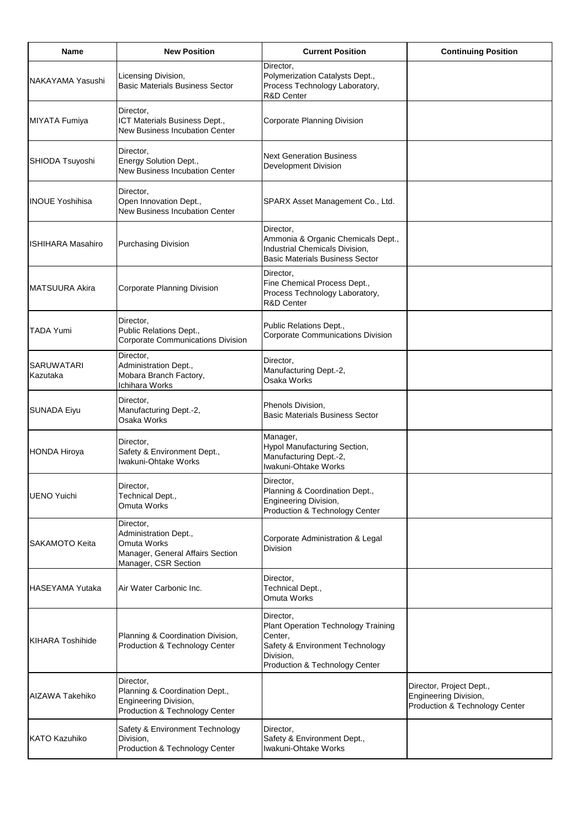| <b>Name</b>             | <b>New Position</b>                                                                                                  | <b>Current Position</b>                                                                                                                              | <b>Continuing Position</b>                                                          |
|-------------------------|----------------------------------------------------------------------------------------------------------------------|------------------------------------------------------------------------------------------------------------------------------------------------------|-------------------------------------------------------------------------------------|
| NAKAYAMA Yasushi        | Licensing Division,<br><b>Basic Materials Business Sector</b>                                                        | Director,<br>Polymerization Catalysts Dept.,<br>Process Technology Laboratory,<br><b>R&amp;D Center</b>                                              |                                                                                     |
| MIYATA Fumiya           | Director,<br>ICT Materials Business Dept.,<br><b>New Business Incubation Center</b>                                  | <b>Corporate Planning Division</b>                                                                                                                   |                                                                                     |
| SHIODA Tsuyoshi         | Director,<br>Energy Solution Dept.,<br><b>New Business Incubation Center</b>                                         | <b>Next Generation Business</b><br><b>Development Division</b>                                                                                       |                                                                                     |
| <b>INOUE Yoshihisa</b>  | Director,<br>Open Innovation Dept.,<br><b>New Business Incubation Center</b>                                         | SPARX Asset Management Co., Ltd.                                                                                                                     |                                                                                     |
| IISHIHARA Masahiro      | <b>Purchasing Division</b>                                                                                           | Director,<br>Ammonia & Organic Chemicals Dept.,<br>Industrial Chemicals Division,<br><b>Basic Materials Business Sector</b>                          |                                                                                     |
| <b>MATSUURA Akira</b>   | Corporate Planning Division                                                                                          | Director,<br>Fine Chemical Process Dept.,<br>Process Technology Laboratory,<br><b>R&amp;D Center</b>                                                 |                                                                                     |
| <b>TADA Yumi</b>        | Director,<br>Public Relations Dept.,<br><b>Corporate Communications Division</b>                                     | Public Relations Dept.,<br><b>Corporate Communications Division</b>                                                                                  |                                                                                     |
| SARUWATARI<br>Kazutaka  | Director,<br>Administration Dept.,<br>Mobara Branch Factory,<br>Ichihara Works                                       | Director,<br>Manufacturing Dept.-2,<br>Osaka Works                                                                                                   |                                                                                     |
| SUNADA Eiyu             | Director,<br>Manufacturing Dept.-2,<br>Osaka Works                                                                   | Phenols Division,<br><b>Basic Materials Business Sector</b>                                                                                          |                                                                                     |
| HONDA Hiroya            | Director,<br>Safety & Environment Dept.,<br>Iwakuni-Ohtake Works                                                     | Manager,<br>Hypol Manufacturing Section,<br>Manufacturing Dept.-2,<br>Iwakuni-Ohtake Works                                                           |                                                                                     |
| <b>UENO Yuichi</b>      | Director,<br>Technical Dept.,<br><b>Omuta Works</b>                                                                  | Director,<br>Planning & Coordination Dept.,<br><b>Engineering Division,</b><br>Production & Technology Center                                        |                                                                                     |
| <b>SAKAMOTO Keita</b>   | Director,<br>Administration Dept.,<br><b>Omuta Works</b><br>Manager, General Affairs Section<br>Manager, CSR Section | Corporate Administration & Legal<br><b>Division</b>                                                                                                  |                                                                                     |
| HASEYAMA Yutaka         | Air Water Carbonic Inc.                                                                                              | Director,<br>Technical Dept.,<br><b>Omuta Works</b>                                                                                                  |                                                                                     |
| <b>KIHARA Toshihide</b> | Planning & Coordination Division,<br>Production & Technology Center                                                  | Director,<br><b>Plant Operation Technology Training</b><br>Center,<br>Safety & Environment Technology<br>Division,<br>Production & Technology Center |                                                                                     |
| AIZAWA Takehiko         | Director,<br>Planning & Coordination Dept.,<br>Engineering Division,<br>Production & Technology Center               |                                                                                                                                                      | Director, Project Dept.,<br>Engineering Division,<br>Production & Technology Center |
| KATO Kazuhiko           | Safety & Environment Technology<br>Division,<br>Production & Technology Center                                       | Director,<br>Safety & Environment Dept.,<br>Iwakuni-Ohtake Works                                                                                     |                                                                                     |